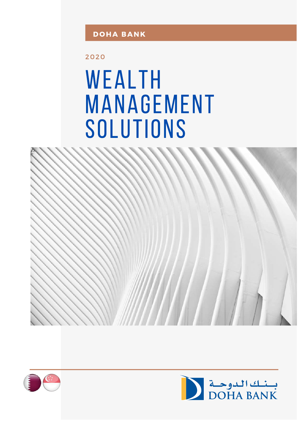2020

# WEALTH **MANAGEMENT** SOLUTIONS





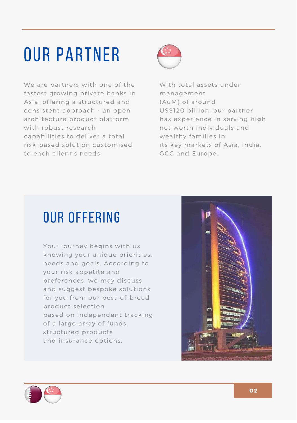## **OUR PARTNER**

We are partners with one of the fastest growing private banks in Asia, offering a structured and consistent approach - an open architecture product platform with robust research capabilities to deliver a total risk-based solution customised to each client's needs.



With total assets under management (AuM) of around US\$120 billion, our partner has experience in serving high net worth individuals and wealthy families in its key markets of Asia, India, GCC and Europe.

### **OUR OFFERING**

Your journey begins with us knowing your unique priorities, needs and goals. According to your risk appetite and preferences, we may discuss and suggest bespoke solutions for you from our best-of-breed product selection based on independent tracking of a large array of funds, structured products and insurance options.



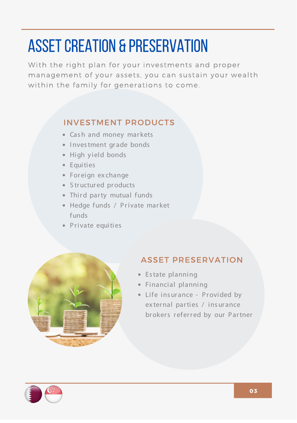## **ASSET CREATION & PRESERVATION**

With the right plan for your investments and proper management of your assets, you can sustain your wealth within the family for generations to come.

#### **INVESTMENT PRODUCTS**

- Cash and money markets
- Investment grade bonds
- · High yield bonds
- Equities
- Foreign ex change
- Structured products
- Third party mutual funds
- Hedge funds / Private market funds
- Private equities



#### **ASSET PRESERVATION**

- Estate planning
- Financial planning
- Life insurance Provided by ex ternal parties / insurance brokers referred by our Partner

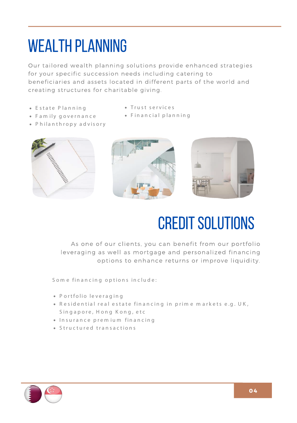### **WEALTH PLANNING**

Our tailored wealth planning solutions provide enhanced strategies for your specific succession needs including catering to beneficiaries and assets located in different parts of the world and creating structures for charitable giving.

• Trust services

• Financial planning

- Estate Planning
- Family governance
- $\bullet$  P hilanthropy advisory





### **CREDIT SOLUTIONS**

As one of our clients, you can benefit from our portfolio leveraging as well as mortgage and personalized financing options to enhance returns or improve liquidity.

Some financing options include:

- Portfolio leveraging
- Residential real estate financing in prime markets e.g. UK, Singapore, Hong Kong, etc
- $\bullet$  Insurance premium financing
- Structured transactions

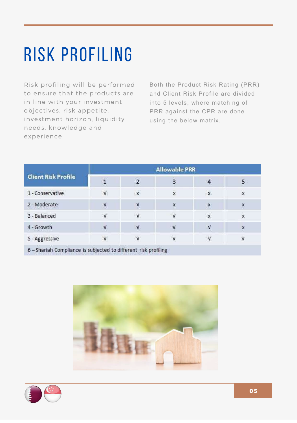## **RISK PROFILING**

Risk profiling will be performed to ensure that the products are in line with your investment objectives, risk appetite, investment horizon, liquidity needs, knowledge and experience.

Both the Product Risk Rating (PRR) and Client Risk Profile are divided into 5 levels, where matching of PRR against the CPR are done using the below matrix.

| <b>Client Risk Profile</b>                                        | <b>Allowable PRR</b> |               |   |                           |   |
|-------------------------------------------------------------------|----------------------|---------------|---|---------------------------|---|
|                                                                   |                      |               | 3 | $\overline{a}$            | 5 |
| 1 - Conservative                                                  | $\mathsf{V}$         | $\mathbf x$   | X | $\mathbf x$               | X |
| 2 - Moderate                                                      |                      | $\mathcal{N}$ | X | X                         | X |
| 3 - Balanced                                                      | $\mathbf v$          | $\mathbf{V}$  |   | $\pmb{\chi}$              | X |
| 4 - Growth                                                        |                      | V             |   | $\boldsymbol{\mathsf{v}}$ | X |
| 5 - Aggressive<br>_____<br><b>CONTRACTOR</b><br><b>CONTRACTOR</b> | $\mathsf{V}$         | $\mathbf{V}$  |   | $\mathsf{v}$              | V |

6 - Shariah Compliance is subjected to different risk profiling